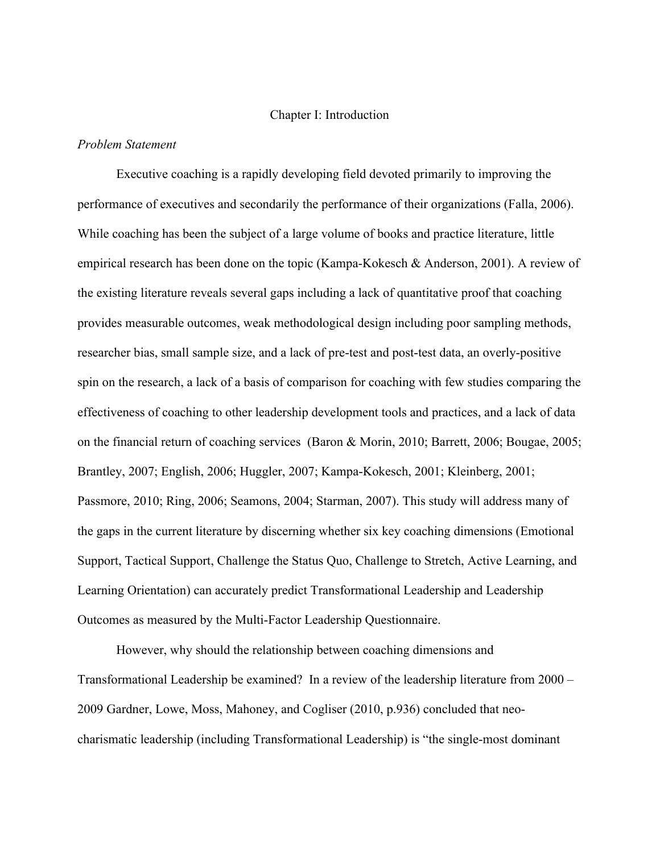### Chapter I: Introduction

## *Problem Statement*

Executive coaching is a rapidly developing field devoted primarily to improving the performance of executives and secondarily the performance of their organizations (Falla, 2006). While coaching has been the subject of a large volume of books and practice literature, little empirical research has been done on the topic (Kampa-Kokesch & Anderson, 2001). A review of the existing literature reveals several gaps including a lack of quantitative proof that coaching provides measurable outcomes, weak methodological design including poor sampling methods, researcher bias, small sample size, and a lack of pre-test and post-test data, an overly-positive spin on the research, a lack of a basis of comparison for coaching with few studies comparing the effectiveness of coaching to other leadership development tools and practices, and a lack of data on the financial return of coaching services (Baron & Morin, 2010; Barrett, 2006; Bougae, 2005; Brantley, 2007; English, 2006; Huggler, 2007; Kampa-Kokesch, 2001; Kleinberg, 2001; Passmore, 2010; Ring, 2006; Seamons, 2004; Starman, 2007). This study will address many of the gaps in the current literature by discerning whether six key coaching dimensions (Emotional Support, Tactical Support, Challenge the Status Quo, Challenge to Stretch, Active Learning, and Learning Orientation) can accurately predict Transformational Leadership and Leadership Outcomes as measured by the Multi-Factor Leadership Questionnaire.

However, why should the relationship between coaching dimensions and Transformational Leadership be examined? In a review of the leadership literature from 2000 – 2009 Gardner, Lowe, Moss, Mahoney, and Cogliser (2010, p.936) concluded that neocharismatic leadership (including Transformational Leadership) is "the single-most dominant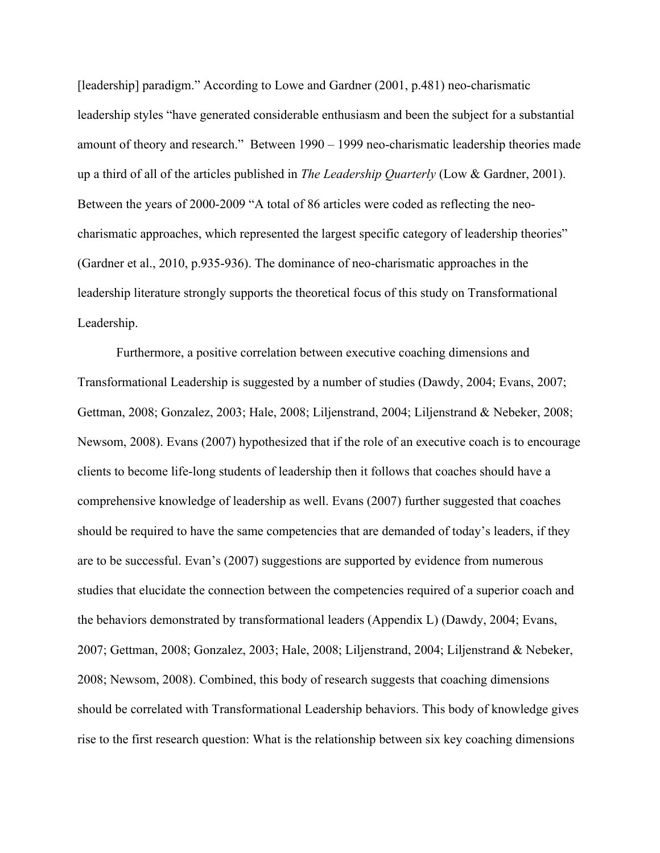[leadership] paradigm." According to Lowe and Gardner (2001, p.481) neo-charismatic leadership styles "have generated considerable enthusiasm and been the subject for a substantial amount of theory and research." Between 1990 – 1999 neo-charismatic leadership theories made up a third of all of the articles published in *The Leadership Quarterly* (Low & Gardner, 2001). Between the years of 2000-2009 "A total of 86 articles were coded as reflecting the neocharismatic approaches, which represented the largest specific category of leadership theories" (Gardner et al., 2010, p.935-936). The dominance of neo-charismatic approaches in the leadership literature strongly supports the theoretical focus of this study on Transformational Leadership.

Furthermore, a positive correlation between executive coaching dimensions and Transformational Leadership is suggested by a number of studies (Dawdy, 2004; Evans, 2007; Gettman, 2008; Gonzalez, 2003; Hale, 2008; Liljenstrand, 2004; Liljenstrand & Nebeker, 2008; Newsom, 2008). Evans (2007) hypothesized that if the role of an executive coach is to encourage clients to become life-long students of leadership then it follows that coaches should have a comprehensive knowledge of leadership as well. Evans (2007) further suggested that coaches should be required to have the same competencies that are demanded of today's leaders, if they are to be successful. Evan's (2007) suggestions are supported by evidence from numerous studies that elucidate the connection between the competencies required of a superior coach and the behaviors demonstrated by transformational leaders (Appendix L) (Dawdy, 2004; Evans, 2007; Gettman, 2008; Gonzalez, 2003; Hale, 2008; Liljenstrand, 2004; Liljenstrand & Nebeker, 2008; Newsom, 2008). Combined, this body of research suggests that coaching dimensions should be correlated with Transformational Leadership behaviors. This body of knowledge gives rise to the first research question: What is the relationship between six key coaching dimensions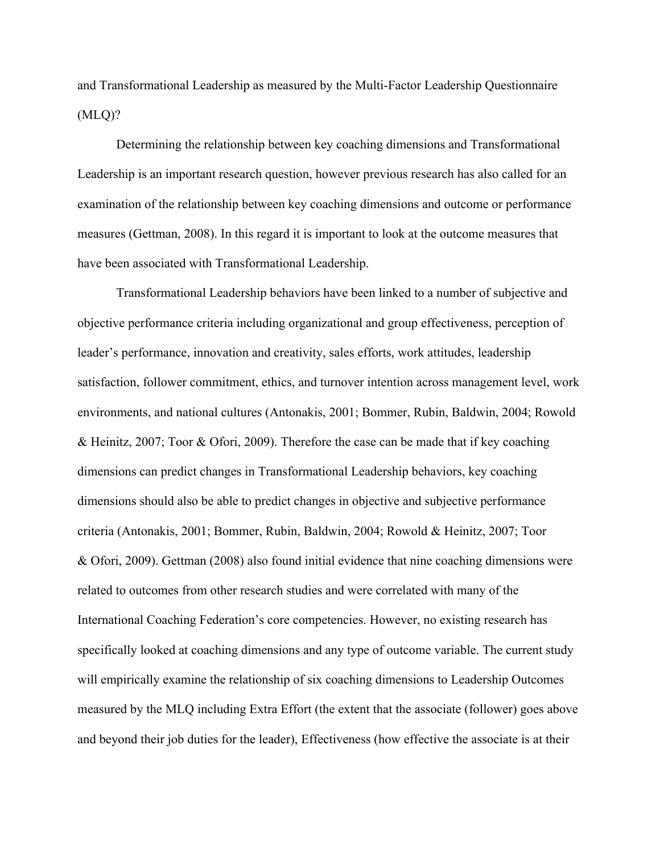and Transformational Leadership as measured by the Multi-Factor Leadership Questionnaire  $(MLO)?$ 

Determining the relationship between key coaching dimensions and Transformational Leadership is an important research question, however previous research has also called for an examination of the relationship between key coaching dimensions and outcome or performance measures (Gettman, 2008). In this regard it is important to look at the outcome measures that have been associated with Transformational Leadership.

Transformational Leadership behaviors have been linked to a number of subjective and objective performance criteria including organizational and group effectiveness, perception of leader's performance, innovation and creativity, sales efforts, work attitudes, leadership satisfaction, follower commitment, ethics, and turnover intention across management level, work environments, and national cultures (Antonakis, 2001; Bommer, Rubin, Baldwin, 2004; Rowold & Heinitz, 2007; Toor & Ofori, 2009). Therefore the case can be made that if key coaching dimensions can predict changes in Transformational Leadership behaviors, key coaching dimensions should also be able to predict changes in objective and subjective performance criteria (Antonakis, 2001; Bommer, Rubin, Baldwin, 2004; Rowold & Heinitz, 2007; Toor & Ofori, 2009). Gettman (2008) also found initial evidence that nine coaching dimensions were related to outcomes from other research studies and were correlated with many of the International Coaching Federation's core competencies. However, no existing research has specifically looked at coaching dimensions and any type of outcome variable. The current study will empirically examine the relationship of six coaching dimensions to Leadership Outcomes measured by the MLQ including Extra Effort (the extent that the associate (follower) goes above and beyond their job duties for the leader), Effectiveness (how effective the associate is at their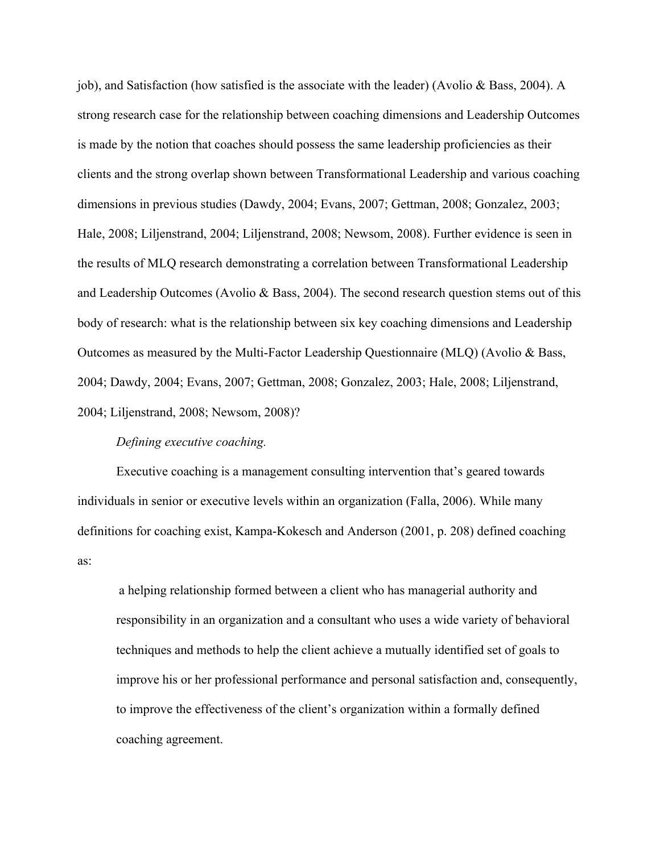job), and Satisfaction (how satisfied is the associate with the leader) (Avolio & Bass, 2004). A strong research case for the relationship between coaching dimensions and Leadership Outcomes is made by the notion that coaches should possess the same leadership proficiencies as their clients and the strong overlap shown between Transformational Leadership and various coaching dimensions in previous studies (Dawdy, 2004; Evans, 2007; Gettman, 2008; Gonzalez, 2003; Hale, 2008; Liljenstrand, 2004; Liljenstrand, 2008; Newsom, 2008). Further evidence is seen in the results of MLQ research demonstrating a correlation between Transformational Leadership and Leadership Outcomes (Avolio & Bass, 2004). The second research question stems out of this body of research: what is the relationship between six key coaching dimensions and Leadership Outcomes as measured by the Multi-Factor Leadership Questionnaire (MLO) (Avolio  $\&$  Bass, 2004; Dawdy, 2004; Evans, 2007; Gettman, 2008; Gonzalez, 2003; Hale, 2008; Liljenstrand, 2004; Liljenstrand, 2008; Newsom, 2008)?

# *Defining executive coaching.*

Executive coaching is a management consulting intervention that's geared towards individuals in senior or executive levels within an organization (Falla, 2006). While many definitions for coaching exist, Kampa-Kokesch and Anderson (2001, p. 208) defined coaching as:

a helping relationship formed between a client who has managerial authority and responsibility in an organization and a consultant who uses a wide variety of behavioral techniques and methods to help the client achieve a mutually identified set of goals to improve his or her professional performance and personal satisfaction and, consequently, to improve the effectiveness of the client's organization within a formally defined coaching agreement.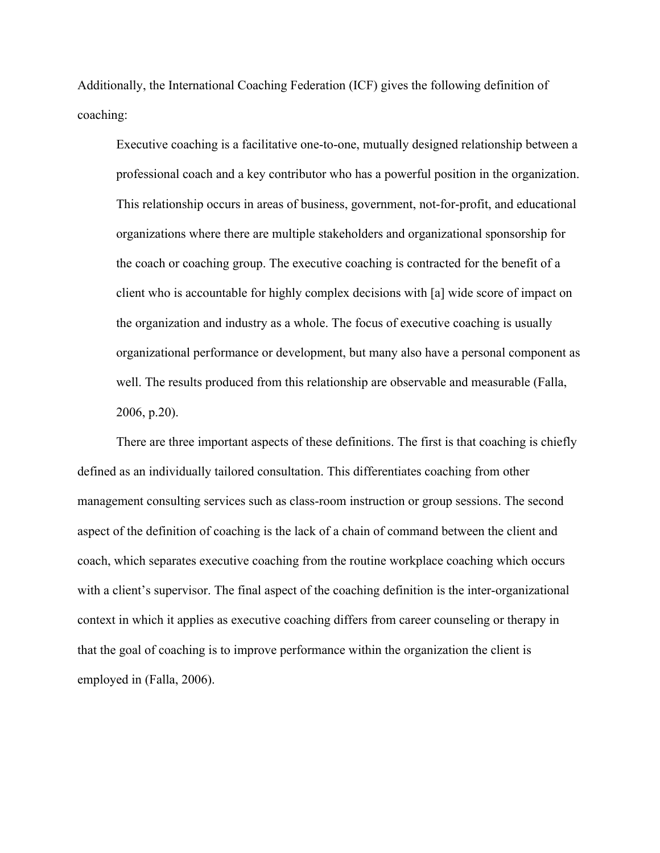Additionally, the International Coaching Federation (ICF) gives the following definition of coaching:

Executive coaching is a facilitative one-to-one, mutually designed relationship between a professional coach and a key contributor who has a powerful position in the organization. This relationship occurs in areas of business, government, not-for-profit, and educational organizations where there are multiple stakeholders and organizational sponsorship for the coach or coaching group. The executive coaching is contracted for the benefit of a client who is accountable for highly complex decisions with [a] wide score of impact on the organization and industry as a whole. The focus of executive coaching is usually organizational performance or development, but many also have a personal component as well. The results produced from this relationship are observable and measurable (Falla, 2006, p.20).

There are three important aspects of these definitions. The first is that coaching is chiefly defined as an individually tailored consultation. This differentiates coaching from other management consulting services such as class-room instruction or group sessions. The second aspect of the definition of coaching is the lack of a chain of command between the client and coach, which separates executive coaching from the routine workplace coaching which occurs with a client's supervisor. The final aspect of the coaching definition is the inter-organizational context in which it applies as executive coaching differs from career counseling or therapy in that the goal of coaching is to improve performance within the organization the client is employed in (Falla, 2006).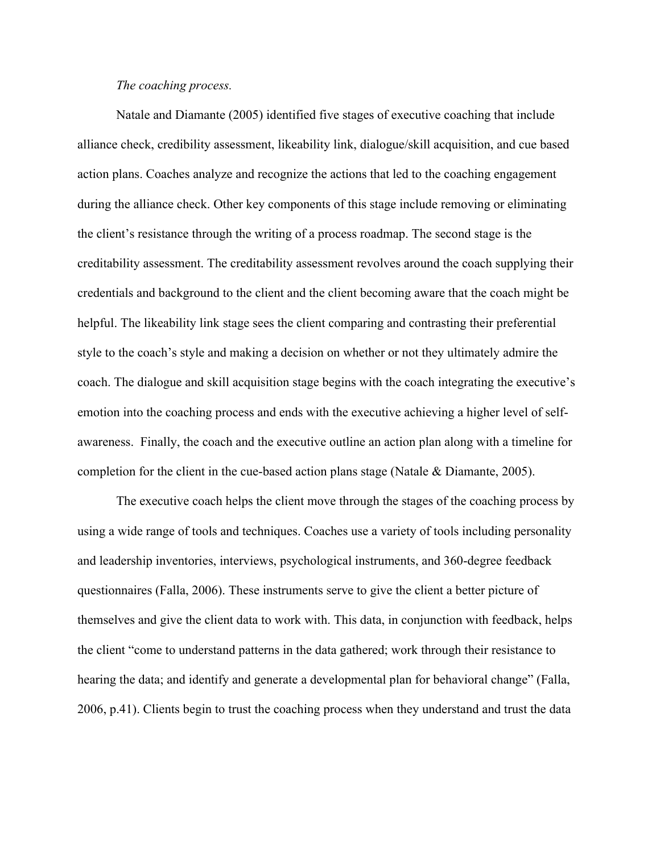# *The coaching process.*

Natale and Diamante (2005) identified five stages of executive coaching that include alliance check, credibility assessment, likeability link, dialogue/skill acquisition, and cue based action plans. Coaches analyze and recognize the actions that led to the coaching engagement during the alliance check. Other key components of this stage include removing or eliminating the client's resistance through the writing of a process roadmap. The second stage is the creditability assessment. The creditability assessment revolves around the coach supplying their credentials and background to the client and the client becoming aware that the coach might be helpful. The likeability link stage sees the client comparing and contrasting their preferential style to the coach's style and making a decision on whether or not they ultimately admire the coach. The dialogue and skill acquisition stage begins with the coach integrating the executive's emotion into the coaching process and ends with the executive achieving a higher level of selfawareness. Finally, the coach and the executive outline an action plan along with a timeline for completion for the client in the cue-based action plans stage (Natale & Diamante, 2005).

The executive coach helps the client move through the stages of the coaching process by using a wide range of tools and techniques. Coaches use a variety of tools including personality and leadership inventories, interviews, psychological instruments, and 360-degree feedback questionnaires (Falla, 2006). These instruments serve to give the client a better picture of themselves and give the client data to work with. This data, in conjunction with feedback, helps the client "come to understand patterns in the data gathered; work through their resistance to hearing the data; and identify and generate a developmental plan for behavioral change" (Falla, 2006, p.41). Clients begin to trust the coaching process when they understand and trust the data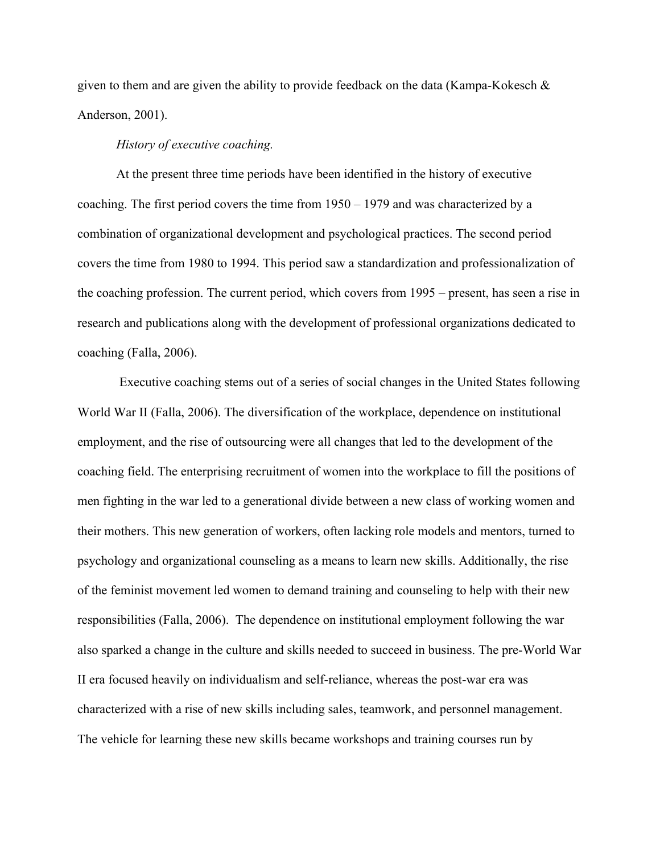given to them and are given the ability to provide feedback on the data (Kampa-Kokesch  $\&$ Anderson, 2001).

## *History of executive coaching.*

At the present three time periods have been identified in the history of executive coaching. The first period covers the time from 1950 – 1979 and was characterized by a combination of organizational development and psychological practices. The second period covers the time from 1980 to 1994. This period saw a standardization and professionalization of the coaching profession. The current period, which covers from 1995 – present, has seen a rise in research and publications along with the development of professional organizations dedicated to coaching (Falla, 2006).

Executive coaching stems out of a series of social changes in the United States following World War II (Falla, 2006). The diversification of the workplace, dependence on institutional employment, and the rise of outsourcing were all changes that led to the development of the coaching field. The enterprising recruitment of women into the workplace to fill the positions of men fighting in the war led to a generational divide between a new class of working women and their mothers. This new generation of workers, often lacking role models and mentors, turned to psychology and organizational counseling as a means to learn new skills. Additionally, the rise of the feminist movement led women to demand training and counseling to help with their new responsibilities (Falla, 2006). The dependence on institutional employment following the war also sparked a change in the culture and skills needed to succeed in business. The pre-World War II era focused heavily on individualism and self-reliance, whereas the post-war era was characterized with a rise of new skills including sales, teamwork, and personnel management. The vehicle for learning these new skills became workshops and training courses run by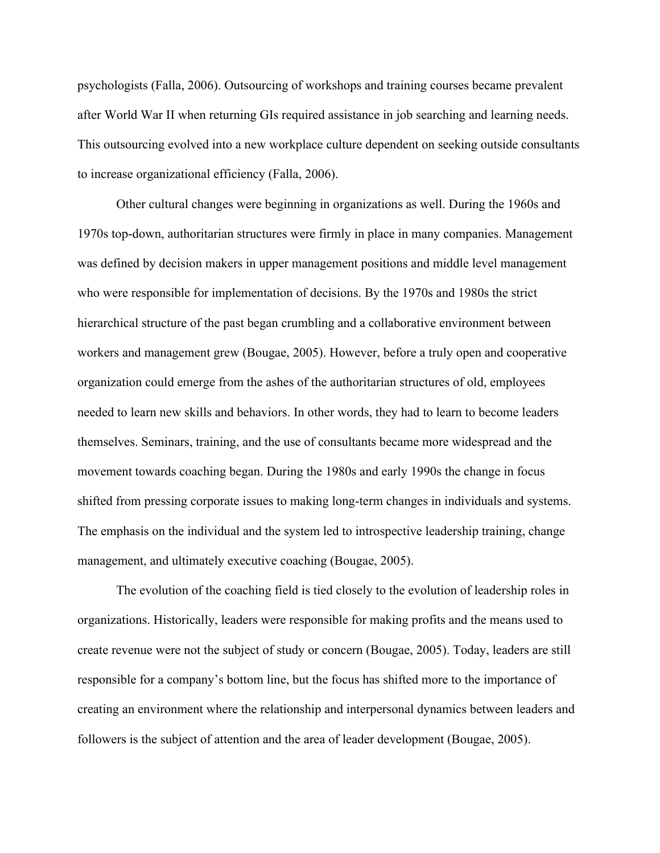psychologists (Falla, 2006). Outsourcing of workshops and training courses became prevalent after World War II when returning GIs required assistance in job searching and learning needs. This outsourcing evolved into a new workplace culture dependent on seeking outside consultants to increase organizational efficiency (Falla, 2006).

Other cultural changes were beginning in organizations as well. During the 1960s and 1970s top-down, authoritarian structures were firmly in place in many companies. Management was defined by decision makers in upper management positions and middle level management who were responsible for implementation of decisions. By the 1970s and 1980s the strict hierarchical structure of the past began crumbling and a collaborative environment between workers and management grew (Bougae, 2005). However, before a truly open and cooperative organization could emerge from the ashes of the authoritarian structures of old, employees needed to learn new skills and behaviors. In other words, they had to learn to become leaders themselves. Seminars, training, and the use of consultants became more widespread and the movement towards coaching began. During the 1980s and early 1990s the change in focus shifted from pressing corporate issues to making long-term changes in individuals and systems. The emphasis on the individual and the system led to introspective leadership training, change management, and ultimately executive coaching (Bougae, 2005).

The evolution of the coaching field is tied closely to the evolution of leadership roles in organizations. Historically, leaders were responsible for making profits and the means used to create revenue were not the subject of study or concern (Bougae, 2005). Today, leaders are still responsible for a company's bottom line, but the focus has shifted more to the importance of creating an environment where the relationship and interpersonal dynamics between leaders and followers is the subject of attention and the area of leader development (Bougae, 2005).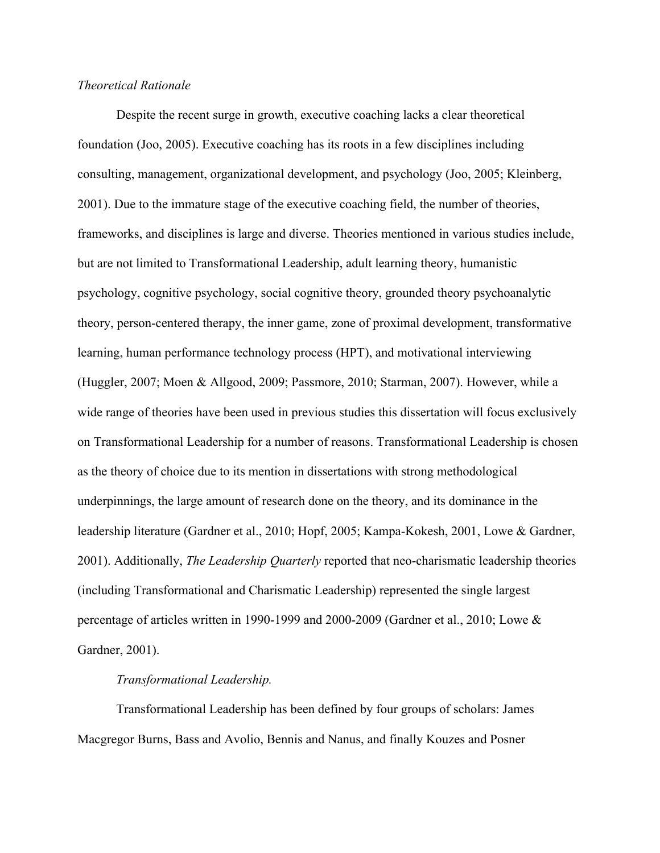## *Theoretical Rationale*

Despite the recent surge in growth, executive coaching lacks a clear theoretical foundation (Joo, 2005). Executive coaching has its roots in a few disciplines including consulting, management, organizational development, and psychology (Joo, 2005; Kleinberg, 2001). Due to the immature stage of the executive coaching field, the number of theories, frameworks, and disciplines is large and diverse. Theories mentioned in various studies include, but are not limited to Transformational Leadership, adult learning theory, humanistic psychology, cognitive psychology, social cognitive theory, grounded theory psychoanalytic theory, person-centered therapy, the inner game, zone of proximal development, transformative learning, human performance technology process (HPT), and motivational interviewing (Huggler, 2007; Moen & Allgood, 2009; Passmore, 2010; Starman, 2007). However, while a wide range of theories have been used in previous studies this dissertation will focus exclusively on Transformational Leadership for a number of reasons. Transformational Leadership is chosen as the theory of choice due to its mention in dissertations with strong methodological underpinnings, the large amount of research done on the theory, and its dominance in the leadership literature (Gardner et al., 2010; Hopf, 2005; Kampa-Kokesh, 2001, Lowe & Gardner, 2001). Additionally, *The Leadership Quarterly* reported that neo-charismatic leadership theories (including Transformational and Charismatic Leadership) represented the single largest percentage of articles written in 1990-1999 and 2000-2009 (Gardner et al., 2010; Lowe & Gardner, 2001).

# *Transformational Leadership.*

Transformational Leadership has been defined by four groups of scholars: James Macgregor Burns, Bass and Avolio, Bennis and Nanus, and finally Kouzes and Posner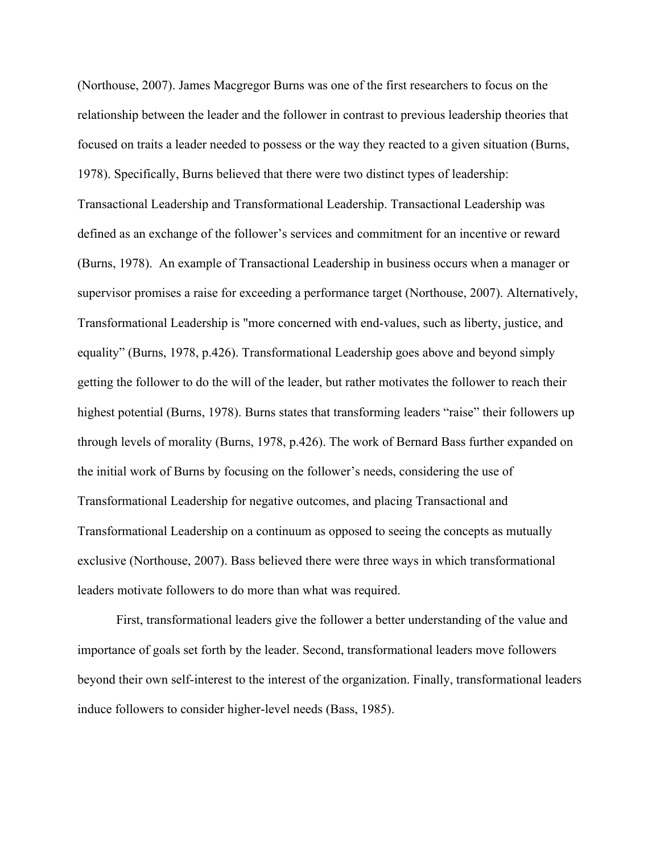(Northouse, 2007). James Macgregor Burns was one of the first researchers to focus on the relationship between the leader and the follower in contrast to previous leadership theories that focused on traits a leader needed to possess or the way they reacted to a given situation (Burns, 1978). Specifically, Burns believed that there were two distinct types of leadership: Transactional Leadership and Transformational Leadership. Transactional Leadership was defined as an exchange of the follower's services and commitment for an incentive or reward (Burns, 1978). An example of Transactional Leadership in business occurs when a manager or supervisor promises a raise for exceeding a performance target (Northouse, 2007). Alternatively, Transformational Leadership is "more concerned with end-values, such as liberty, justice, and equality" (Burns, 1978, p.426). Transformational Leadership goes above and beyond simply getting the follower to do the will of the leader, but rather motivates the follower to reach their highest potential (Burns, 1978). Burns states that transforming leaders "raise" their followers up through levels of morality (Burns, 1978, p.426). The work of Bernard Bass further expanded on the initial work of Burns by focusing on the follower's needs, considering the use of Transformational Leadership for negative outcomes, and placing Transactional and Transformational Leadership on a continuum as opposed to seeing the concepts as mutually exclusive (Northouse, 2007). Bass believed there were three ways in which transformational leaders motivate followers to do more than what was required.

First, transformational leaders give the follower a better understanding of the value and importance of goals set forth by the leader. Second, transformational leaders move followers beyond their own self-interest to the interest of the organization. Finally, transformational leaders induce followers to consider higher-level needs (Bass, 1985).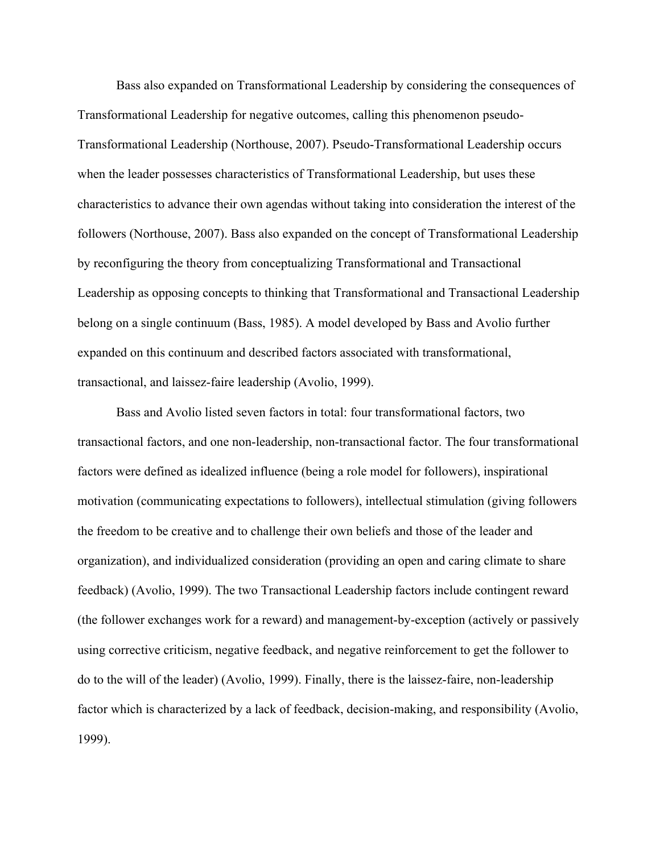Bass also expanded on Transformational Leadership by considering the consequences of Transformational Leadership for negative outcomes, calling this phenomenon pseudo-Transformational Leadership (Northouse, 2007). Pseudo-Transformational Leadership occurs when the leader possesses characteristics of Transformational Leadership, but uses these characteristics to advance their own agendas without taking into consideration the interest of the followers (Northouse, 2007). Bass also expanded on the concept of Transformational Leadership by reconfiguring the theory from conceptualizing Transformational and Transactional Leadership as opposing concepts to thinking that Transformational and Transactional Leadership belong on a single continuum (Bass, 1985). A model developed by Bass and Avolio further expanded on this continuum and described factors associated with transformational, transactional, and laissez-faire leadership (Avolio, 1999).

Bass and Avolio listed seven factors in total: four transformational factors, two transactional factors, and one non-leadership, non-transactional factor. The four transformational factors were defined as idealized influence (being a role model for followers), inspirational motivation (communicating expectations to followers), intellectual stimulation (giving followers the freedom to be creative and to challenge their own beliefs and those of the leader and organization), and individualized consideration (providing an open and caring climate to share feedback) (Avolio, 1999). The two Transactional Leadership factors include contingent reward (the follower exchanges work for a reward) and management-by-exception (actively or passively using corrective criticism, negative feedback, and negative reinforcement to get the follower to do to the will of the leader) (Avolio, 1999). Finally, there is the laissez-faire, non-leadership factor which is characterized by a lack of feedback, decision-making, and responsibility (Avolio, 1999).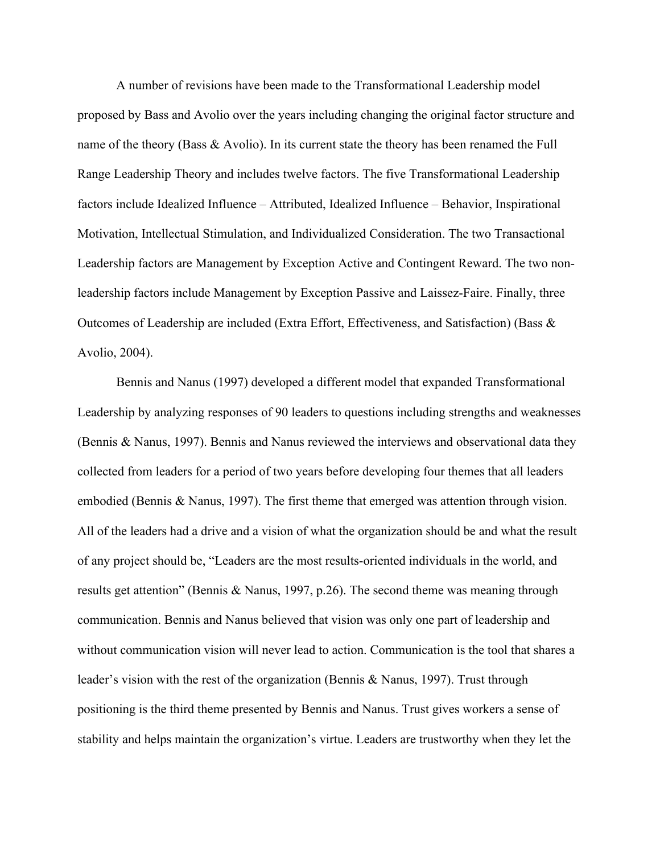A number of revisions have been made to the Transformational Leadership model proposed by Bass and Avolio over the years including changing the original factor structure and name of the theory (Bass & Avolio). In its current state the theory has been renamed the Full Range Leadership Theory and includes twelve factors. The five Transformational Leadership factors include Idealized Influence – Attributed, Idealized Influence – Behavior, Inspirational Motivation, Intellectual Stimulation, and Individualized Consideration. The two Transactional Leadership factors are Management by Exception Active and Contingent Reward. The two nonleadership factors include Management by Exception Passive and Laissez-Faire. Finally, three Outcomes of Leadership are included (Extra Effort, Effectiveness, and Satisfaction) (Bass & Avolio, 2004).

Bennis and Nanus (1997) developed a different model that expanded Transformational Leadership by analyzing responses of 90 leaders to questions including strengths and weaknesses (Bennis & Nanus, 1997). Bennis and Nanus reviewed the interviews and observational data they collected from leaders for a period of two years before developing four themes that all leaders embodied (Bennis & Nanus, 1997). The first theme that emerged was attention through vision. All of the leaders had a drive and a vision of what the organization should be and what the result of any project should be, "Leaders are the most results-oriented individuals in the world, and results get attention" (Bennis & Nanus, 1997, p.26). The second theme was meaning through communication. Bennis and Nanus believed that vision was only one part of leadership and without communication vision will never lead to action. Communication is the tool that shares a leader's vision with the rest of the organization (Bennis & Nanus, 1997). Trust through positioning is the third theme presented by Bennis and Nanus. Trust gives workers a sense of stability and helps maintain the organization's virtue. Leaders are trustworthy when they let the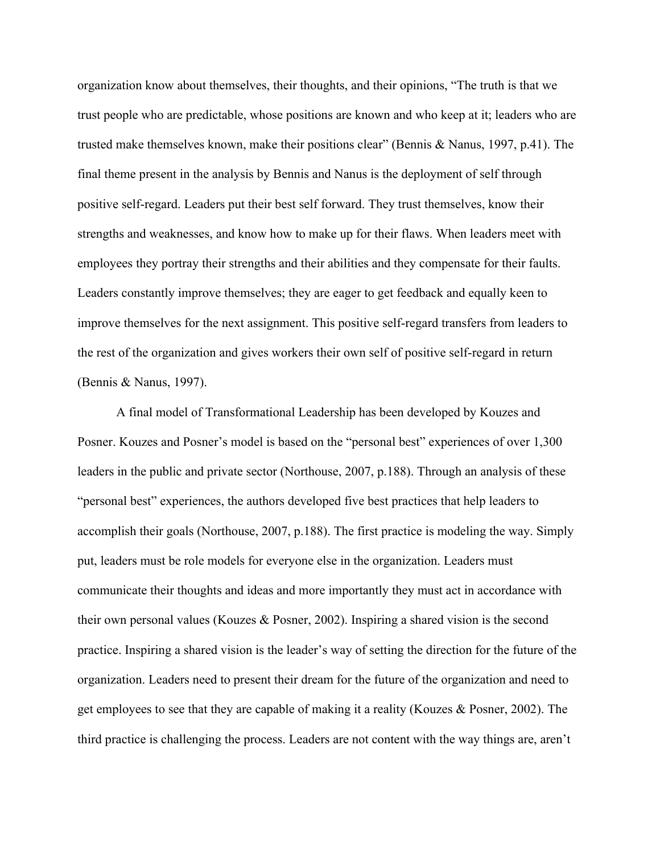organization know about themselves, their thoughts, and their opinions, "The truth is that we trust people who are predictable, whose positions are known and who keep at it; leaders who are trusted make themselves known, make their positions clear" (Bennis & Nanus, 1997, p.41). The final theme present in the analysis by Bennis and Nanus is the deployment of self through positive self-regard. Leaders put their best self forward. They trust themselves, know their strengths and weaknesses, and know how to make up for their flaws. When leaders meet with employees they portray their strengths and their abilities and they compensate for their faults. Leaders constantly improve themselves; they are eager to get feedback and equally keen to improve themselves for the next assignment. This positive self-regard transfers from leaders to the rest of the organization and gives workers their own self of positive self-regard in return (Bennis & Nanus, 1997).

A final model of Transformational Leadership has been developed by Kouzes and Posner. Kouzes and Posner's model is based on the "personal best" experiences of over 1,300 leaders in the public and private sector (Northouse, 2007, p.188). Through an analysis of these "personal best" experiences, the authors developed five best practices that help leaders to accomplish their goals (Northouse, 2007, p.188). The first practice is modeling the way. Simply put, leaders must be role models for everyone else in the organization. Leaders must communicate their thoughts and ideas and more importantly they must act in accordance with their own personal values (Kouzes & Posner, 2002). Inspiring a shared vision is the second practice. Inspiring a shared vision is the leader's way of setting the direction for the future of the organization. Leaders need to present their dream for the future of the organization and need to get employees to see that they are capable of making it a reality (Kouzes & Posner, 2002). The third practice is challenging the process. Leaders are not content with the way things are, aren't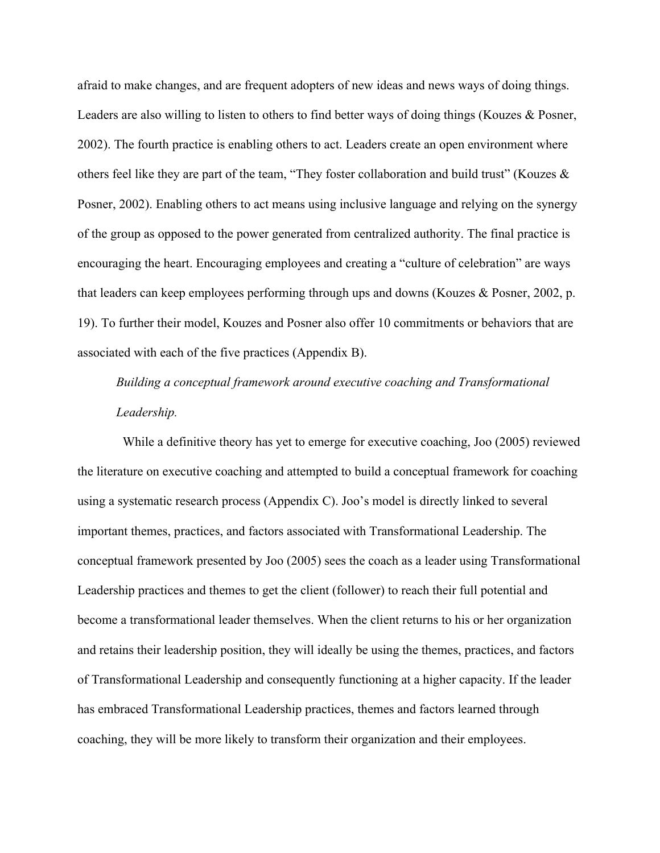afraid to make changes, and are frequent adopters of new ideas and news ways of doing things. Leaders are also willing to listen to others to find better ways of doing things (Kouzes & Posner, 2002). The fourth practice is enabling others to act. Leaders create an open environment where others feel like they are part of the team, "They foster collaboration and build trust" (Kouzes  $\&$ Posner, 2002). Enabling others to act means using inclusive language and relying on the synergy of the group as opposed to the power generated from centralized authority. The final practice is encouraging the heart. Encouraging employees and creating a "culture of celebration" are ways that leaders can keep employees performing through ups and downs (Kouzes & Posner, 2002, p. 19). To further their model, Kouzes and Posner also offer 10 commitments or behaviors that are associated with each of the five practices (Appendix B).

# *Building a conceptual framework around executive coaching and Transformational Leadership.*

 While a definitive theory has yet to emerge for executive coaching, Joo (2005) reviewed the literature on executive coaching and attempted to build a conceptual framework for coaching using a systematic research process (Appendix C). Joo's model is directly linked to several important themes, practices, and factors associated with Transformational Leadership. The conceptual framework presented by Joo (2005) sees the coach as a leader using Transformational Leadership practices and themes to get the client (follower) to reach their full potential and become a transformational leader themselves. When the client returns to his or her organization and retains their leadership position, they will ideally be using the themes, practices, and factors of Transformational Leadership and consequently functioning at a higher capacity. If the leader has embraced Transformational Leadership practices, themes and factors learned through coaching, they will be more likely to transform their organization and their employees.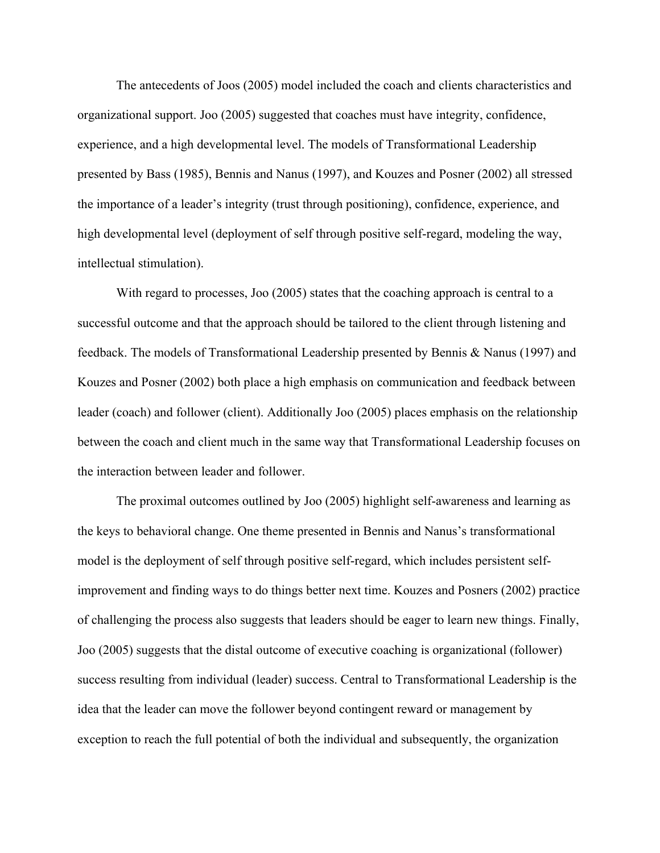The antecedents of Joos (2005) model included the coach and clients characteristics and organizational support. Joo (2005) suggested that coaches must have integrity, confidence, experience, and a high developmental level. The models of Transformational Leadership presented by Bass (1985), Bennis and Nanus (1997), and Kouzes and Posner (2002) all stressed the importance of a leader's integrity (trust through positioning), confidence, experience, and high developmental level (deployment of self through positive self-regard, modeling the way, intellectual stimulation).

With regard to processes, Joo (2005) states that the coaching approach is central to a successful outcome and that the approach should be tailored to the client through listening and feedback. The models of Transformational Leadership presented by Bennis & Nanus (1997) and Kouzes and Posner (2002) both place a high emphasis on communication and feedback between leader (coach) and follower (client). Additionally Joo (2005) places emphasis on the relationship between the coach and client much in the same way that Transformational Leadership focuses on the interaction between leader and follower.

The proximal outcomes outlined by Joo (2005) highlight self-awareness and learning as the keys to behavioral change. One theme presented in Bennis and Nanus's transformational model is the deployment of self through positive self-regard, which includes persistent selfimprovement and finding ways to do things better next time. Kouzes and Posners (2002) practice of challenging the process also suggests that leaders should be eager to learn new things. Finally, Joo (2005) suggests that the distal outcome of executive coaching is organizational (follower) success resulting from individual (leader) success. Central to Transformational Leadership is the idea that the leader can move the follower beyond contingent reward or management by exception to reach the full potential of both the individual and subsequently, the organization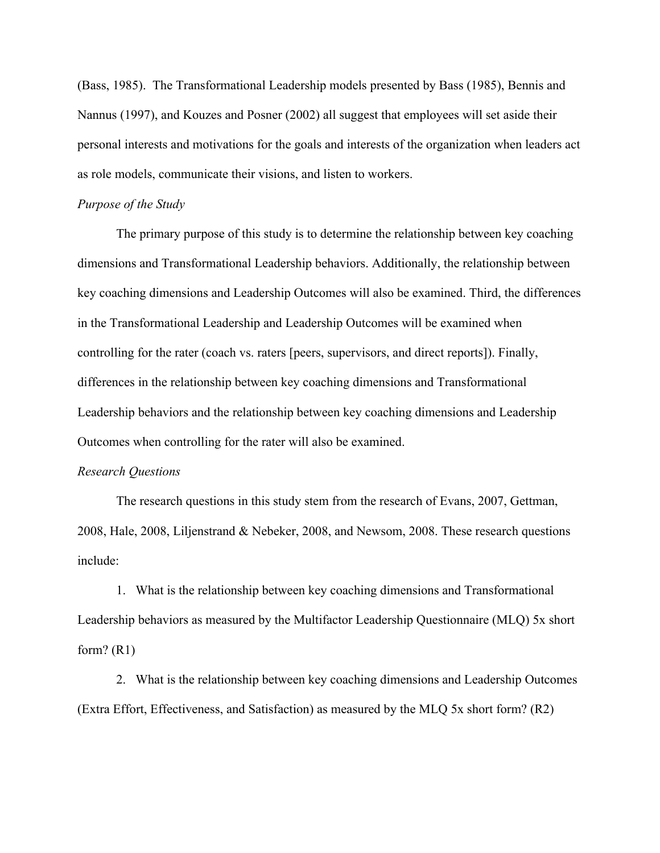(Bass, 1985). The Transformational Leadership models presented by Bass (1985), Bennis and Nannus (1997), and Kouzes and Posner (2002) all suggest that employees will set aside their personal interests and motivations for the goals and interests of the organization when leaders act as role models, communicate their visions, and listen to workers.

## *Purpose of the Study*

The primary purpose of this study is to determine the relationship between key coaching dimensions and Transformational Leadership behaviors. Additionally, the relationship between key coaching dimensions and Leadership Outcomes will also be examined. Third, the differences in the Transformational Leadership and Leadership Outcomes will be examined when controlling for the rater (coach vs. raters [peers, supervisors, and direct reports]). Finally, differences in the relationship between key coaching dimensions and Transformational Leadership behaviors and the relationship between key coaching dimensions and Leadership Outcomes when controlling for the rater will also be examined.

## *Research Questions*

The research questions in this study stem from the research of Evans, 2007, Gettman, 2008, Hale, 2008, Liljenstrand & Nebeker, 2008, and Newsom, 2008. These research questions include:

1. What is the relationship between key coaching dimensions and Transformational Leadership behaviors as measured by the Multifactor Leadership Questionnaire (MLQ) 5x short form?  $(R1)$ 

2. What is the relationship between key coaching dimensions and Leadership Outcomes (Extra Effort, Effectiveness, and Satisfaction) as measured by the MLQ 5x short form? (R2)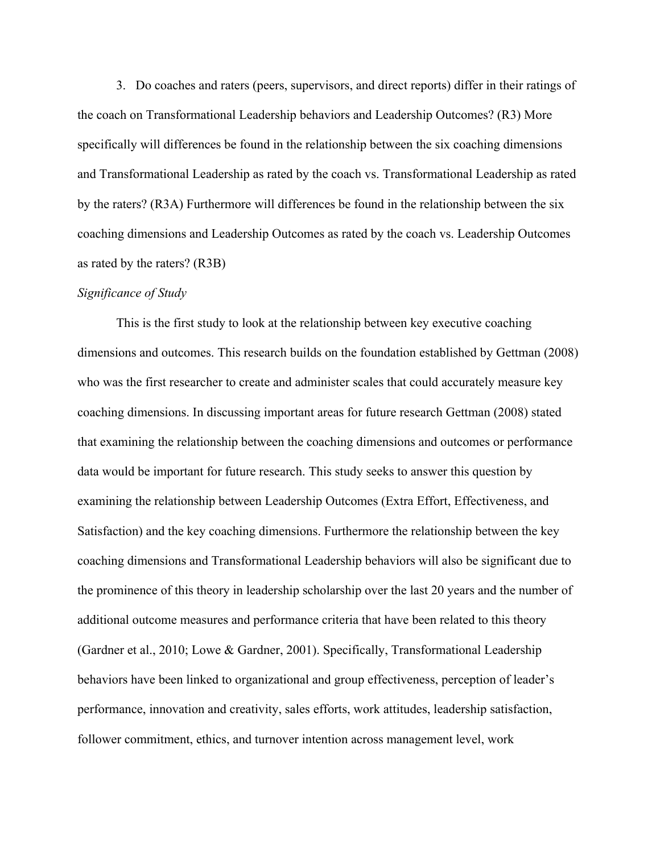3. Do coaches and raters (peers, supervisors, and direct reports) differ in their ratings of the coach on Transformational Leadership behaviors and Leadership Outcomes? (R3) More specifically will differences be found in the relationship between the six coaching dimensions and Transformational Leadership as rated by the coach vs. Transformational Leadership as rated by the raters? (R3A) Furthermore will differences be found in the relationship between the six coaching dimensions and Leadership Outcomes as rated by the coach vs. Leadership Outcomes as rated by the raters? (R3B)

#### *Significance of Study*

This is the first study to look at the relationship between key executive coaching dimensions and outcomes. This research builds on the foundation established by Gettman (2008) who was the first researcher to create and administer scales that could accurately measure key coaching dimensions. In discussing important areas for future research Gettman (2008) stated that examining the relationship between the coaching dimensions and outcomes or performance data would be important for future research. This study seeks to answer this question by examining the relationship between Leadership Outcomes (Extra Effort, Effectiveness, and Satisfaction) and the key coaching dimensions. Furthermore the relationship between the key coaching dimensions and Transformational Leadership behaviors will also be significant due to the prominence of this theory in leadership scholarship over the last 20 years and the number of additional outcome measures and performance criteria that have been related to this theory (Gardner et al., 2010; Lowe & Gardner, 2001). Specifically, Transformational Leadership behaviors have been linked to organizational and group effectiveness, perception of leader's performance, innovation and creativity, sales efforts, work attitudes, leadership satisfaction, follower commitment, ethics, and turnover intention across management level, work